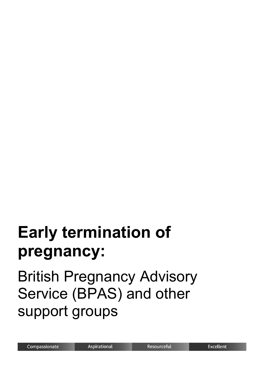# **Early termination of pregnancy:**

## British Pregnancy Advisory Service (BPAS) and other support groups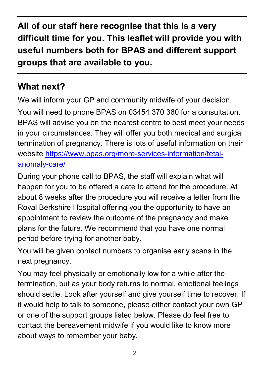**All of our staff here recognise that this is a very difficult time for you. This leaflet will provide you with useful numbers both for BPAS and different support groups that are available to you.** 

#### **What next?**

We will inform your GP and community midwife of your decision. You will need to phone BPAS on 03454 370 360 for a consultation. BPAS will advise you on the nearest centre to best meet your needs in your circumstances. They will offer you both medical and surgical termination of pregnancy. There is lots of useful information on their website [https://www.bpas.org/more-services-information/fetal](https://www.bpas.org/more-services-information/fetal-anomaly-care/)[anomaly-care/](https://www.bpas.org/more-services-information/fetal-anomaly-care/)

During your phone call to BPAS, the staff will explain what will happen for you to be offered a date to attend for the procedure. At about 8 weeks after the procedure you will receive a letter from the Royal Berkshire Hospital offering you the opportunity to have an appointment to review the outcome of the pregnancy and make plans for the future. We recommend that you have one normal period before trying for another baby.

You will be given contact numbers to organise early scans in the next pregnancy.

You may feel physically or emotionally low for a while after the termination, but as your body returns to normal, emotional feelings should settle. Look after yourself and give yourself time to recover. If it would help to talk to someone, please either contact your own GP or one of the support groups listed below. Please do feel free to contact the bereavement midwife if you would like to know more about ways to remember your baby.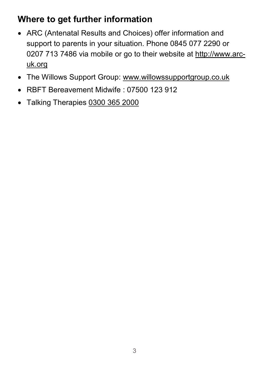#### **Where to get further information**

- ARC (Antenatal Results and Choices) offer information and support to parents in your situation. Phone 0845 077 2290 or 0207 713 7486 via mobile or go to their website at [http://www.arc](http://www.arc-uk.org/)[uk.org](http://www.arc-uk.org/)
- The Willows Support Group: [www.willowssupportgroup.co.uk](http://www.willowssupportgroup.co.uk/)
- RBFT Bereavement Midwife : 07500 123 912
- Talking Therapies [0300 365 2000](tel:0300-365-2000)